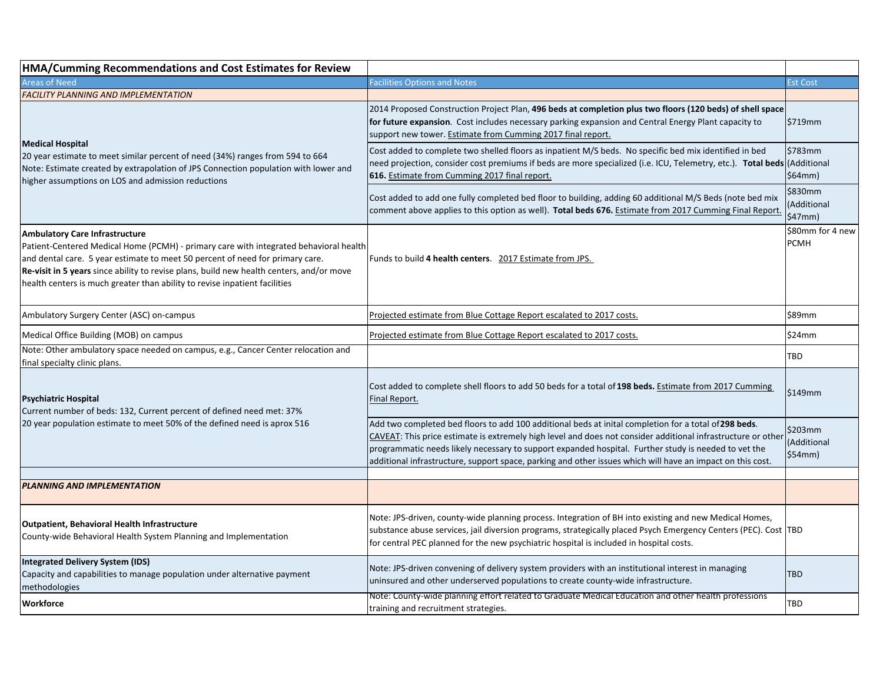| HMA/Cumming Recommendations and Cost Estimates for Review                                                                                                                                                                                                                                                                                                                                 |                                                                                                                                                                                                                                                                                                                                                                                                                                             |                                   |
|-------------------------------------------------------------------------------------------------------------------------------------------------------------------------------------------------------------------------------------------------------------------------------------------------------------------------------------------------------------------------------------------|---------------------------------------------------------------------------------------------------------------------------------------------------------------------------------------------------------------------------------------------------------------------------------------------------------------------------------------------------------------------------------------------------------------------------------------------|-----------------------------------|
| <b>Areas of Need</b>                                                                                                                                                                                                                                                                                                                                                                      | <b>Facilities Options and Notes</b>                                                                                                                                                                                                                                                                                                                                                                                                         | <b>Est Cost</b>                   |
| <b>FACILITY PLANNING AND IMPLEMENTATION</b>                                                                                                                                                                                                                                                                                                                                               |                                                                                                                                                                                                                                                                                                                                                                                                                                             |                                   |
| <b>Medical Hospital</b><br>20 year estimate to meet similar percent of need (34%) ranges from 594 to 664<br>Note: Estimate created by extrapolation of JPS Connection population with lower and<br>higher assumptions on LOS and admission reductions                                                                                                                                     | 2014 Proposed Construction Project Plan, 496 beds at completion plus two floors (120 beds) of shell space<br>for future expansion. Cost includes necessary parking expansion and Central Energy Plant capacity to<br>support new tower. Estimate from Cumming 2017 final report.                                                                                                                                                            | \$719mm                           |
|                                                                                                                                                                                                                                                                                                                                                                                           | Cost added to complete two shelled floors as inpatient M/S beds. No specific bed mix identified in bed<br>need projection, consider cost premiums if beds are more specialized (i.e. ICU, Telemetry, etc.). Total beds<br>616. Estimate from Cumming 2017 final report.                                                                                                                                                                     | \$783mm<br>(Additional<br>\$64mm) |
|                                                                                                                                                                                                                                                                                                                                                                                           | Cost added to add one fully completed bed floor to building, adding 60 additional M/S Beds (note bed mix<br>comment above applies to this option as well). Total beds 676. Estimate from 2017 Cumming Final Report.                                                                                                                                                                                                                         | \$830mm<br>Additional<br>\$47mm)  |
| <b>Ambulatory Care Infrastructure</b><br>Patient-Centered Medical Home (PCMH) - primary care with integrated behavioral health<br>and dental care. 5 year estimate to meet 50 percent of need for primary care.<br>Re-visit in 5 years since ability to revise plans, build new health centers, and/or move<br>health centers is much greater than ability to revise inpatient facilities | Funds to build 4 health centers. 2017 Estimate from JPS.                                                                                                                                                                                                                                                                                                                                                                                    | \$80mm for 4 new<br><b>PCMH</b>   |
| Ambulatory Surgery Center (ASC) on-campus                                                                                                                                                                                                                                                                                                                                                 | Projected estimate from Blue Cottage Report escalated to 2017 costs.                                                                                                                                                                                                                                                                                                                                                                        | \$89mm                            |
| Medical Office Building (MOB) on campus                                                                                                                                                                                                                                                                                                                                                   | Projected estimate from Blue Cottage Report escalated to 2017 costs.                                                                                                                                                                                                                                                                                                                                                                        | \$24mm                            |
| Note: Other ambulatory space needed on campus, e.g., Cancer Center relocation and<br>final specialty clinic plans.                                                                                                                                                                                                                                                                        |                                                                                                                                                                                                                                                                                                                                                                                                                                             | TBD                               |
| <b>Psychiatric Hospital</b><br>Current number of beds: 132, Current percent of defined need met: 37%<br>20 year population estimate to meet 50% of the defined need is aprox 516                                                                                                                                                                                                          | Cost added to complete shell floors to add 50 beds for a total of 198 beds. Estimate from 2017 Cumming<br>Final Report.                                                                                                                                                                                                                                                                                                                     | \$149mm                           |
|                                                                                                                                                                                                                                                                                                                                                                                           | Add two completed bed floors to add 100 additional beds at inital completion for a total of 298 beds.<br>CAVEAT: This price estimate is extremely high level and does not consider additional infrastructure or other<br>programmatic needs likely necessary to support expanded hospital. Further study is needed to vet the<br>additional infrastructure, support space, parking and other issues which will have an impact on this cost. | \$203mm<br>(Additional<br>\$54mm) |
| <b>PLANNING AND IMPLEMENTATION</b>                                                                                                                                                                                                                                                                                                                                                        |                                                                                                                                                                                                                                                                                                                                                                                                                                             |                                   |
| <b>Outpatient, Behavioral Health Infrastructure</b><br>County-wide Behavioral Health System Planning and Implementation                                                                                                                                                                                                                                                                   | Note: JPS-driven, county-wide planning process. Integration of BH into existing and new Medical Homes,<br>substance abuse services, jail diversion programs, strategically placed Psych Emergency Centers (PEC). Cost  TBD<br>for central PEC planned for the new psychiatric hospital is included in hospital costs.                                                                                                                       |                                   |
| <b>Integrated Delivery System (IDS)</b><br>Capacity and capabilities to manage population under alternative payment<br>methodologies                                                                                                                                                                                                                                                      | Note: JPS-driven convening of delivery system providers with an institutional interest in managing<br>uninsured and other underserved populations to create county-wide infrastructure.                                                                                                                                                                                                                                                     | TBD                               |
| Workforce                                                                                                                                                                                                                                                                                                                                                                                 | Note: County-wide planning effort related to Graduate Medical Education and other health professions<br>training and recruitment strategies.                                                                                                                                                                                                                                                                                                | TBD                               |